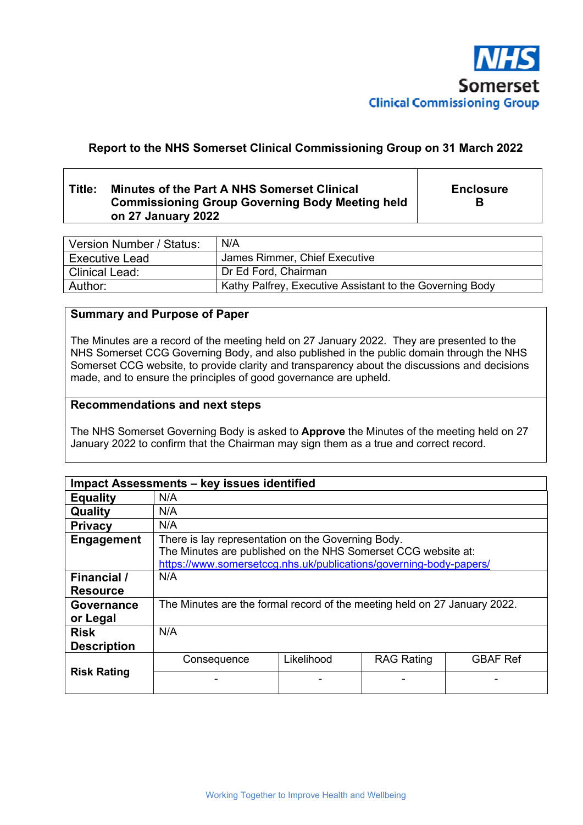

# **Report to the NHS Somerset Clinical Commissioning Group on 31 March 2022**

# **Title: Minutes of the Part A NHS Somerset Clinical Commissioning Group Governing Body Meeting held on 27 January 2022**

**Enclosure B** 

| Version Number / Status: | N/A                                                      |
|--------------------------|----------------------------------------------------------|
| <b>Executive Lead</b>    | James Rimmer, Chief Executive                            |
| <b>Clinical Lead:</b>    | Dr Ed Ford, Chairman                                     |
| Author:                  | Kathy Palfrey, Executive Assistant to the Governing Body |

# **Summary and Purpose of Paper**

The Minutes are a record of the meeting held on 27 January 2022. They are presented to the NHS Somerset CCG Governing Body, and also published in the public domain through the NHS Somerset CCG website, to provide clarity and transparency about the discussions and decisions made, and to ensure the principles of good governance are upheld.

## **Recommendations and next steps**

The NHS Somerset Governing Body is asked to **Approve** the Minutes of the meeting held on 27 January 2022 to confirm that the Chairman may sign them as a true and correct record.

| Impact Assessments - key issues identified |                                                                                                                                                                                           |            |                   |                 |
|--------------------------------------------|-------------------------------------------------------------------------------------------------------------------------------------------------------------------------------------------|------------|-------------------|-----------------|
| <b>Equality</b>                            | N/A                                                                                                                                                                                       |            |                   |                 |
| Quality                                    | N/A                                                                                                                                                                                       |            |                   |                 |
| <b>Privacy</b>                             | N/A                                                                                                                                                                                       |            |                   |                 |
| Engagement                                 | There is lay representation on the Governing Body.<br>The Minutes are published on the NHS Somerset CCG website at:<br>https://www.somersetccg.nhs.uk/publications/governing-body-papers/ |            |                   |                 |
| <b>Financial</b> /<br><b>Resource</b>      | N/A                                                                                                                                                                                       |            |                   |                 |
| <b>Governance</b><br>or Legal              | The Minutes are the formal record of the meeting held on 27 January 2022.                                                                                                                 |            |                   |                 |
| <b>Risk</b><br><b>Description</b>          | N/A                                                                                                                                                                                       |            |                   |                 |
| <b>Risk Rating</b>                         | Consequence                                                                                                                                                                               | Likelihood | <b>RAG Rating</b> | <b>GBAF Ref</b> |
|                                            |                                                                                                                                                                                           |            |                   |                 |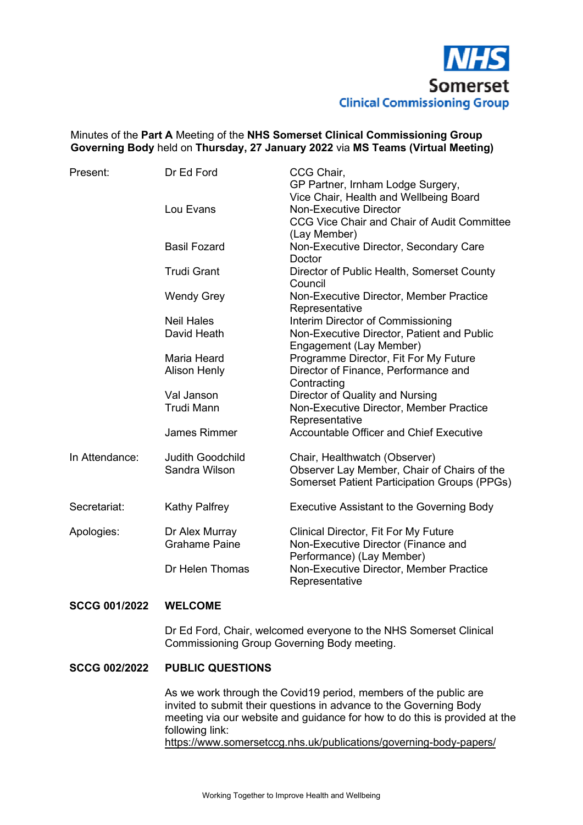

# Minutes of the **Part A** Meeting of the **NHS Somerset Clinical Commissioning Group Governing Body** held on **Thursday, 27 January 2022** via **MS Teams (Virtual Meeting)**

| Present:       | Dr Ed Ford                               | CCG Chair,<br>GP Partner, Irnham Lodge Surgery,<br>Vice Chair, Health and Wellbeing Board                                    |
|----------------|------------------------------------------|------------------------------------------------------------------------------------------------------------------------------|
|                | Lou Evans                                | <b>Non-Executive Director</b><br>CCG Vice Chair and Chair of Audit Committee<br>(Lay Member)                                 |
|                | <b>Basil Fozard</b>                      | Non-Executive Director, Secondary Care<br>Doctor                                                                             |
|                | <b>Trudi Grant</b>                       | Director of Public Health, Somerset County<br>Council                                                                        |
|                | <b>Wendy Grey</b>                        | Non-Executive Director, Member Practice<br>Representative                                                                    |
|                | <b>Neil Hales</b>                        | Interim Director of Commissioning                                                                                            |
|                | David Heath                              | Non-Executive Director, Patient and Public<br>Engagement (Lay Member)                                                        |
|                | Maria Heard                              | Programme Director, Fit For My Future                                                                                        |
|                | <b>Alison Henly</b>                      | Director of Finance, Performance and<br>Contracting                                                                          |
|                | Val Janson                               | Director of Quality and Nursing                                                                                              |
|                | <b>Trudi Mann</b>                        | Non-Executive Director, Member Practice<br>Representative                                                                    |
|                | <b>James Rimmer</b>                      | Accountable Officer and Chief Executive                                                                                      |
| In Attendance: | <b>Judith Goodchild</b><br>Sandra Wilson | Chair, Healthwatch (Observer)<br>Observer Lay Member, Chair of Chairs of the<br>Somerset Patient Participation Groups (PPGs) |
| Secretariat:   | <b>Kathy Palfrey</b>                     | <b>Executive Assistant to the Governing Body</b>                                                                             |
| Apologies:     | Dr Alex Murray<br><b>Grahame Paine</b>   | Clinical Director, Fit For My Future<br>Non-Executive Director (Finance and<br>Performance) (Lay Member)                     |
|                | Dr Helen Thomas                          | Non-Executive Director, Member Practice<br>Representative                                                                    |

#### **SCCG 001/2022 WELCOME**

Dr Ed Ford, Chair, welcomed everyone to the NHS Somerset Clinical Commissioning Group Governing Body meeting.

#### **SCCG 002/2022 PUBLIC QUESTIONS**

 As we work through the Covid19 period, members of the public are invited to submit their questions in advance to the Governing Body meeting via our website and guidance for how to do this is provided at the following link: https://www.somersetccg.nhs.uk/publications/governing-body-papers/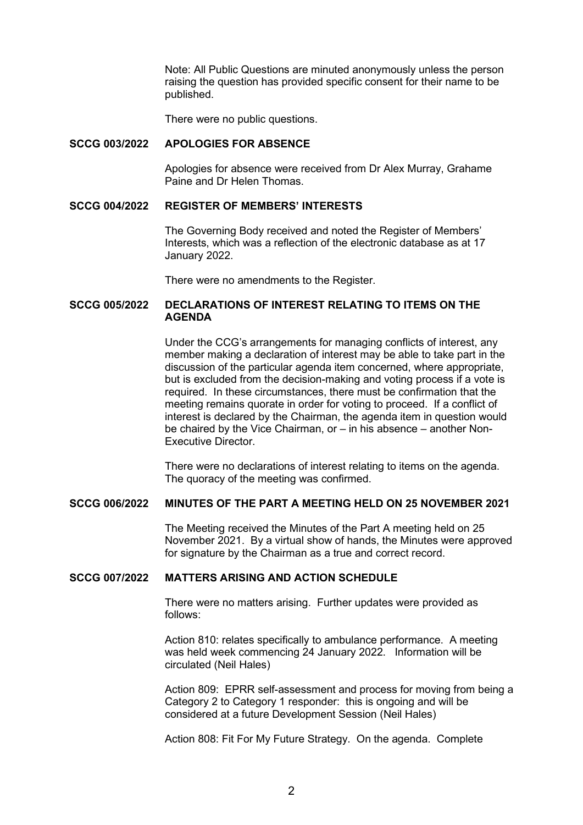Note: All Public Questions are minuted anonymously unless the person raising the question has provided specific consent for their name to be published.

There were no public questions.

#### **SCCG 003/2022 APOLOGIES FOR ABSENCE**

 Apologies for absence were received from Dr Alex Murray, Grahame Paine and Dr Helen Thomas.

### **SCCG 004/2022 REGISTER OF MEMBERS' INTERESTS**

 The Governing Body received and noted the Register of Members' Interests, which was a reflection of the electronic database as at 17 January 2022.

There were no amendments to the Register.

## **SCCG 005/2022 DECLARATIONS OF INTEREST RELATING TO ITEMS ON THE AGENDA**

 Under the CCG's arrangements for managing conflicts of interest, any member making a declaration of interest may be able to take part in the discussion of the particular agenda item concerned, where appropriate, but is excluded from the decision-making and voting process if a vote is required. In these circumstances, there must be confirmation that the meeting remains quorate in order for voting to proceed. If a conflict of interest is declared by the Chairman, the agenda item in question would be chaired by the Vice Chairman, or – in his absence – another Non-Executive Director.

 There were no declarations of interest relating to items on the agenda. The quoracy of the meeting was confirmed.

# **SCCG 006/2022 MINUTES OF THE PART A MEETING HELD ON 25 NOVEMBER 2021**

 The Meeting received the Minutes of the Part A meeting held on 25 November 2021. By a virtual show of hands, the Minutes were approved for signature by the Chairman as a true and correct record.

## **SCCG 007/2022 MATTERS ARISING AND ACTION SCHEDULE**

 There were no matters arising. Further updates were provided as follows:

 Action 810: relates specifically to ambulance performance. A meeting was held week commencing 24 January 2022. Information will be circulated (Neil Hales)

 Action 809: EPRR self-assessment and process for moving from being a Category 2 to Category 1 responder: this is ongoing and will be considered at a future Development Session (Neil Hales)

Action 808: Fit For My Future Strategy. On the agenda. Complete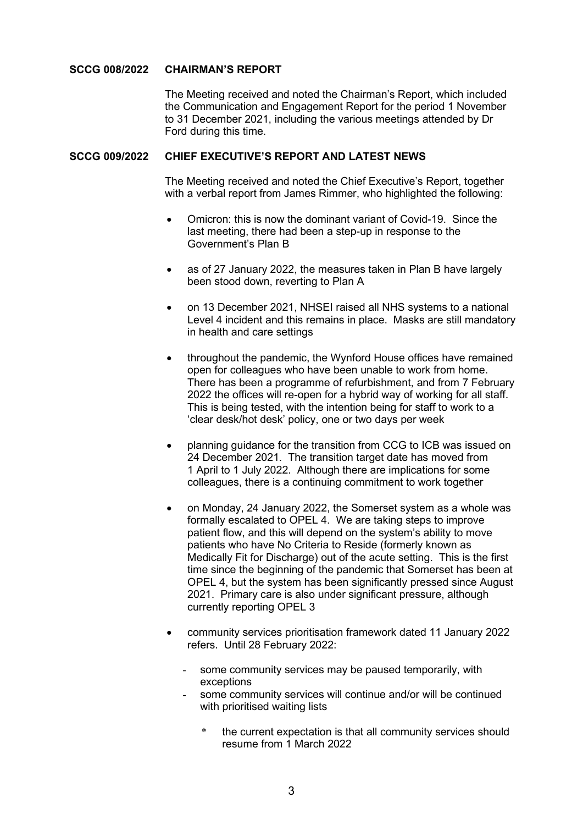## **SCCG 008/2022 CHAIRMAN'S REPORT**

 The Meeting received and noted the Chairman's Report, which included the Communication and Engagement Report for the period 1 November to 31 December 2021, including the various meetings attended by Dr Ford during this time.

## **SCCG 009/2022 CHIEF EXECUTIVE'S REPORT AND LATEST NEWS**

 The Meeting received and noted the Chief Executive's Report, together with a verbal report from James Rimmer, who highlighted the following:

- Omicron: this is now the dominant variant of Covid-19. Since the last meeting, there had been a step-up in response to the Government's Plan B
- as of 27 January 2022, the measures taken in Plan B have largely been stood down, reverting to Plan A
- on 13 December 2021, NHSEI raised all NHS systems to a national Level 4 incident and this remains in place. Masks are still mandatory in health and care settings
- throughout the pandemic, the Wynford House offices have remained open for colleagues who have been unable to work from home. There has been a programme of refurbishment, and from 7 February 2022 the offices will re-open for a hybrid way of working for all staff. This is being tested, with the intention being for staff to work to a 'clear desk/hot desk' policy, one or two days per week
- planning guidance for the transition from CCG to ICB was issued on 24 December 2021. The transition target date has moved from 1 April to 1 July 2022. Although there are implications for some colleagues, there is a continuing commitment to work together
- on Monday, 24 January 2022, the Somerset system as a whole was formally escalated to OPEL 4. We are taking steps to improve patient flow, and this will depend on the system's ability to move patients who have No Criteria to Reside (formerly known as Medically Fit for Discharge) out of the acute setting. This is the first time since the beginning of the pandemic that Somerset has been at OPEL 4, but the system has been significantly pressed since August 2021. Primary care is also under significant pressure, although currently reporting OPEL 3
- community services prioritisation framework dated 11 January 2022 refers. Until 28 February 2022:
	- some community services may be paused temporarily, with exceptions
	- some community services will continue and/or will be continued with prioritised waiting lists
		- the current expectation is that all community services should resume from 1 March 2022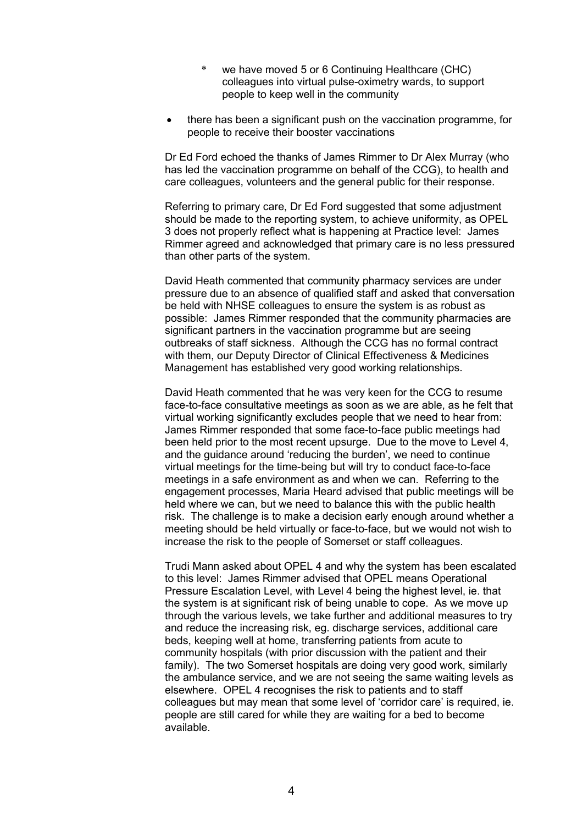- we have moved 5 or 6 Continuing Healthcare (CHC) colleagues into virtual pulse-oximetry wards, to support people to keep well in the community
- there has been a significant push on the vaccination programme, for people to receive their booster vaccinations

 Dr Ed Ford echoed the thanks of James Rimmer to Dr Alex Murray (who has led the vaccination programme on behalf of the CCG), to health and care colleagues, volunteers and the general public for their response.

 Referring to primary care, Dr Ed Ford suggested that some adjustment should be made to the reporting system, to achieve uniformity, as OPEL 3 does not properly reflect what is happening at Practice level: James Rimmer agreed and acknowledged that primary care is no less pressured than other parts of the system.

 David Heath commented that community pharmacy services are under pressure due to an absence of qualified staff and asked that conversation be held with NHSE colleagues to ensure the system is as robust as possible: James Rimmer responded that the community pharmacies are significant partners in the vaccination programme but are seeing outbreaks of staff sickness. Although the CCG has no formal contract with them, our Deputy Director of Clinical Effectiveness & Medicines Management has established very good working relationships.

 David Heath commented that he was very keen for the CCG to resume face-to-face consultative meetings as soon as we are able, as he felt that virtual working significantly excludes people that we need to hear from: James Rimmer responded that some face-to-face public meetings had been held prior to the most recent upsurge. Due to the move to Level 4, and the guidance around 'reducing the burden', we need to continue virtual meetings for the time-being but will try to conduct face-to-face meetings in a safe environment as and when we can. Referring to the engagement processes, Maria Heard advised that public meetings will be held where we can, but we need to balance this with the public health risk. The challenge is to make a decision early enough around whether a meeting should be held virtually or face-to-face, but we would not wish to increase the risk to the people of Somerset or staff colleagues.

 Trudi Mann asked about OPEL 4 and why the system has been escalated to this level: James Rimmer advised that OPEL means Operational Pressure Escalation Level, with Level 4 being the highest level, ie. that the system is at significant risk of being unable to cope. As we move up through the various levels, we take further and additional measures to try and reduce the increasing risk, eg. discharge services, additional care beds, keeping well at home, transferring patients from acute to community hospitals (with prior discussion with the patient and their family). The two Somerset hospitals are doing very good work, similarly the ambulance service, and we are not seeing the same waiting levels as elsewhere. OPEL 4 recognises the risk to patients and to staff colleagues but may mean that some level of 'corridor care' is required, ie. people are still cared for while they are waiting for a bed to become available.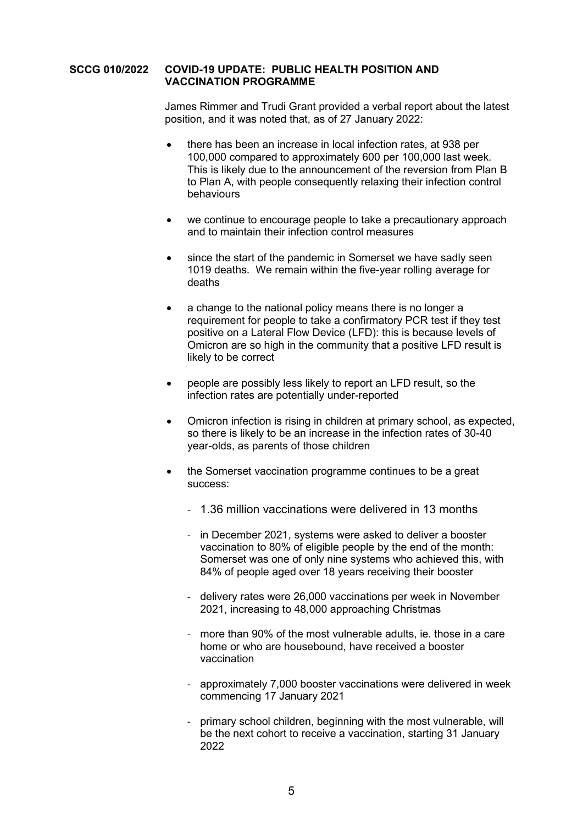#### **SCCG 010/2022 COVID-19 UPDATE: PUBLIC HEALTH POSITION AND VACCINATION PROGRAMME**

 James Rimmer and Trudi Grant provided a verbal report about the latest position, and it was noted that, as of 27 January 2022:

- there has been an increase in local infection rates, at 938 per 100,000 compared to approximately 600 per 100,000 last week. This is likely due to the announcement of the reversion from Plan B to Plan A, with people consequently relaxing their infection control behaviours
- we continue to encourage people to take a precautionary approach and to maintain their infection control measures
- since the start of the pandemic in Somerset we have sadly seen 1019 deaths. We remain within the five-year rolling average for deaths
- a change to the national policy means there is no longer a requirement for people to take a confirmatory PCR test if they test positive on a Lateral Flow Device (LFD): this is because levels of Omicron are so high in the community that a positive LFD result is likely to be correct
- people are possibly less likely to report an LFD result, so the infection rates are potentially under-reported
- Omicron infection is rising in children at primary school, as expected, so there is likely to be an increase in the infection rates of 30-40 year-olds, as parents of those children
- the Somerset vaccination programme continues to be a great success:
	- 1.36 million vaccinations were delivered in 13 months
	- in December 2021, systems were asked to deliver a booster vaccination to 80% of eligible people by the end of the month: Somerset was one of only nine systems who achieved this, with 84% of people aged over 18 years receiving their booster
	- delivery rates were 26,000 vaccinations per week in November 2021, increasing to 48,000 approaching Christmas
	- more than 90% of the most vulnerable adults, ie. those in a care home or who are housebound, have received a booster vaccination
	- approximately 7,000 booster vaccinations were delivered in week commencing 17 January 2021
	- primary school children, beginning with the most vulnerable, will be the next cohort to receive a vaccination, starting 31 January 2022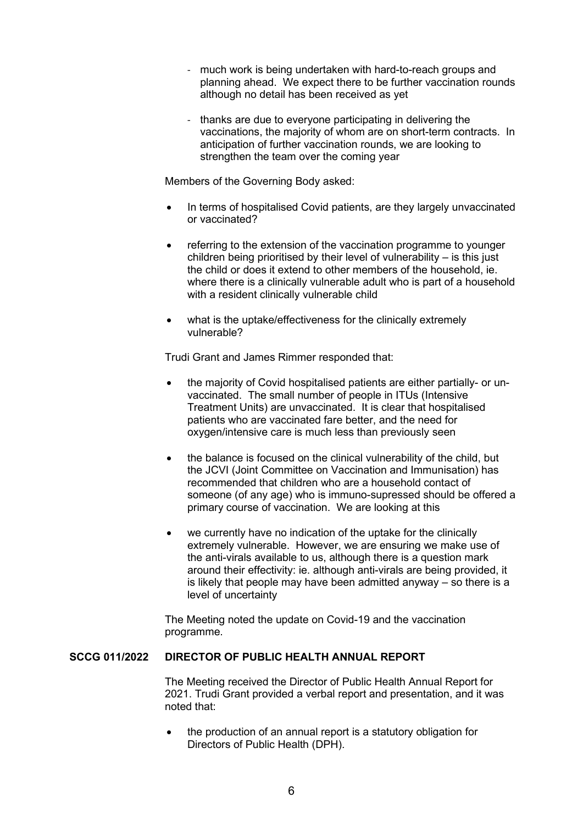- much work is being undertaken with hard-to-reach groups and planning ahead. We expect there to be further vaccination rounds although no detail has been received as yet
- thanks are due to everyone participating in delivering the vaccinations, the majority of whom are on short-term contracts. In anticipation of further vaccination rounds, we are looking to strengthen the team over the coming year

Members of the Governing Body asked:

- In terms of hospitalised Covid patients, are they largely unvaccinated or vaccinated?
- referring to the extension of the vaccination programme to younger children being prioritised by their level of vulnerability – is this just the child or does it extend to other members of the household, ie. where there is a clinically vulnerable adult who is part of a household with a resident clinically vulnerable child
- what is the uptake/effectiveness for the clinically extremely vulnerable?

Trudi Grant and James Rimmer responded that:

- the majority of Covid hospitalised patients are either partially- or unvaccinated. The small number of people in ITUs (Intensive Treatment Units) are unvaccinated. It is clear that hospitalised patients who are vaccinated fare better, and the need for oxygen/intensive care is much less than previously seen
- the balance is focused on the clinical vulnerability of the child, but the JCVI (Joint Committee on Vaccination and Immunisation) has recommended that children who are a household contact of someone (of any age) who is immuno-supressed should be offered a primary course of vaccination. We are looking at this
- we currently have no indication of the uptake for the clinically extremely vulnerable. However, we are ensuring we make use of the anti-virals available to us, although there is a question mark around their effectivity: ie. although anti-virals are being provided, it is likely that people may have been admitted anyway – so there is a level of uncertainty

 The Meeting noted the update on Covid-19 and the vaccination programme.

# **SCCG 011/2022 DIRECTOR OF PUBLIC HEALTH ANNUAL REPORT**

 The Meeting received the Director of Public Health Annual Report for 2021. Trudi Grant provided a verbal report and presentation, and it was noted that:

• the production of an annual report is a statutory obligation for Directors of Public Health (DPH).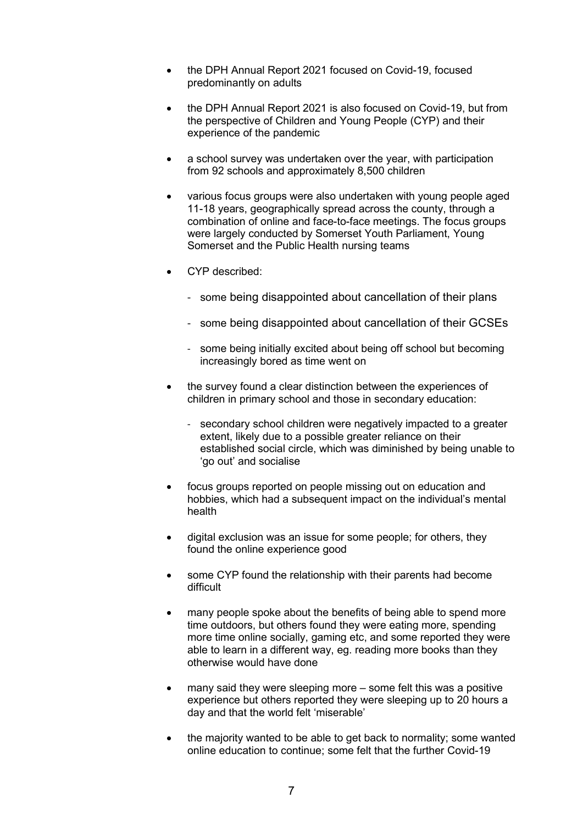- the DPH Annual Report 2021 focused on Covid-19, focused predominantly on adults
- the DPH Annual Report 2021 is also focused on Covid-19, but from the perspective of Children and Young People (CYP) and their experience of the pandemic
- a school survey was undertaken over the year, with participation from 92 schools and approximately 8,500 children
- various focus groups were also undertaken with young people aged 11-18 years, geographically spread across the county, through a combination of online and face-to-face meetings. The focus groups were largely conducted by Somerset Youth Parliament, Young Somerset and the Public Health nursing teams
- CYP described:
	- some being disappointed about cancellation of their plans
	- some being disappointed about cancellation of their GCSEs
	- some being initially excited about being off school but becoming increasingly bored as time went on
- the survey found a clear distinction between the experiences of children in primary school and those in secondary education:
	- secondary school children were negatively impacted to a greater extent, likely due to a possible greater reliance on their established social circle, which was diminished by being unable to 'go out' and socialise
- focus groups reported on people missing out on education and hobbies, which had a subsequent impact on the individual's mental health
- digital exclusion was an issue for some people; for others, they found the online experience good
- some CYP found the relationship with their parents had become difficult
- many people spoke about the benefits of being able to spend more time outdoors, but others found they were eating more, spending more time online socially, gaming etc, and some reported they were able to learn in a different way, eg. reading more books than they otherwise would have done
- many said they were sleeping more some felt this was a positive experience but others reported they were sleeping up to 20 hours a day and that the world felt 'miserable'
- the majority wanted to be able to get back to normality; some wanted online education to continue; some felt that the further Covid-19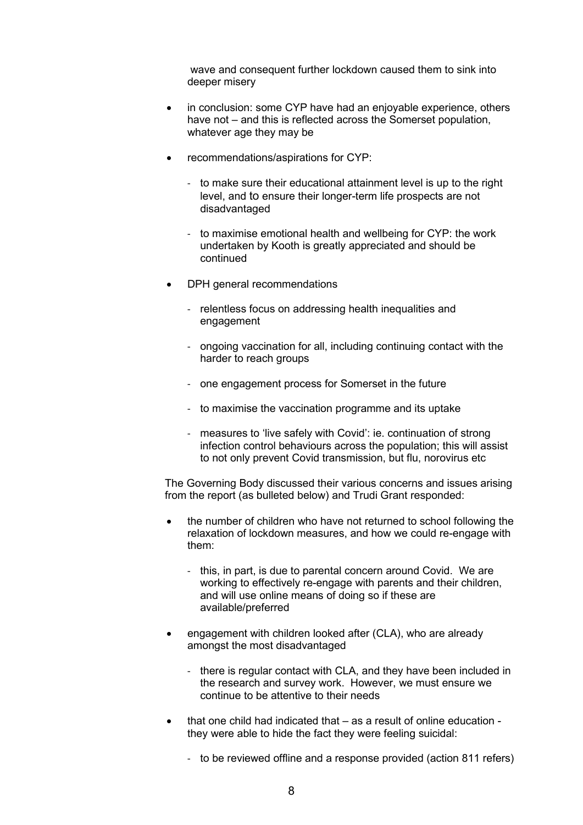wave and consequent further lockdown caused them to sink into deeper misery

- in conclusion: some CYP have had an enjoyable experience, others have not – and this is reflected across the Somerset population, whatever age they may be
- recommendations/aspirations for CYP:
	- to make sure their educational attainment level is up to the right level, and to ensure their longer-term life prospects are not disadvantaged
	- to maximise emotional health and wellbeing for CYP: the work undertaken by Kooth is greatly appreciated and should be continued
- DPH general recommendations
	- relentless focus on addressing health inequalities and engagement
	- ongoing vaccination for all, including continuing contact with the harder to reach groups
	- one engagement process for Somerset in the future
	- to maximise the vaccination programme and its uptake
	- measures to 'live safely with Covid': ie. continuation of strong infection control behaviours across the population; this will assist to not only prevent Covid transmission, but flu, norovirus etc

 The Governing Body discussed their various concerns and issues arising from the report (as bulleted below) and Trudi Grant responded:

- the number of children who have not returned to school following the relaxation of lockdown measures, and how we could re-engage with them:
	- this, in part, is due to parental concern around Covid. We are working to effectively re-engage with parents and their children, and will use online means of doing so if these are available/preferred
- engagement with children looked after (CLA), who are already amongst the most disadvantaged
	- there is regular contact with CLA, and they have been included in the research and survey work. However, we must ensure we continue to be attentive to their needs
- that one child had indicated that as a result of online education they were able to hide the fact they were feeling suicidal:
	- to be reviewed offline and a response provided (action 811 refers)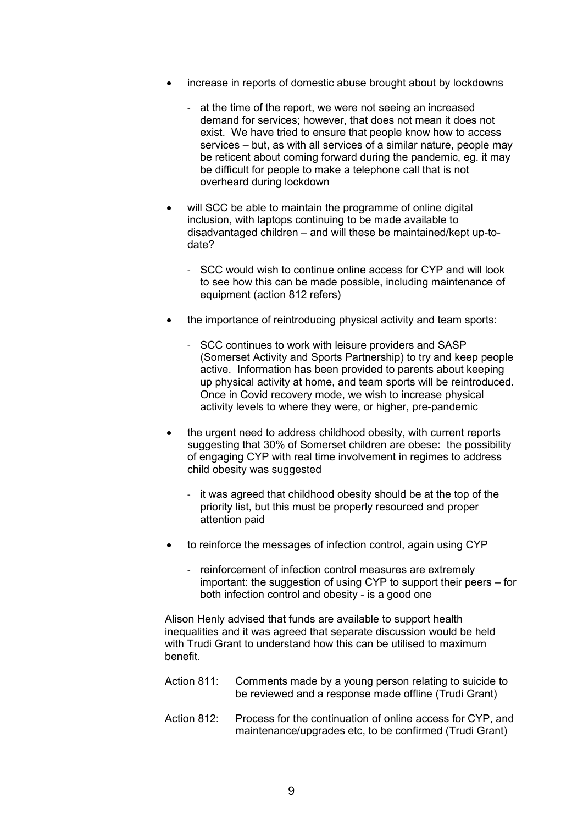- increase in reports of domestic abuse brought about by lockdowns
	- at the time of the report, we were not seeing an increased demand for services; however, that does not mean it does not exist. We have tried to ensure that people know how to access services – but, as with all services of a similar nature, people may be reticent about coming forward during the pandemic, eg. it may be difficult for people to make a telephone call that is not overheard during lockdown
- will SCC be able to maintain the programme of online digital inclusion, with laptops continuing to be made available to disadvantaged children – and will these be maintained/kept up-todate?
	- SCC would wish to continue online access for CYP and will look to see how this can be made possible, including maintenance of equipment (action 812 refers)
- the importance of reintroducing physical activity and team sports:
	- SCC continues to work with leisure providers and SASP (Somerset Activity and Sports Partnership) to try and keep people active. Information has been provided to parents about keeping up physical activity at home, and team sports will be reintroduced. Once in Covid recovery mode, we wish to increase physical activity levels to where they were, or higher, pre-pandemic
- the urgent need to address childhood obesity, with current reports suggesting that 30% of Somerset children are obese: the possibility of engaging CYP with real time involvement in regimes to address child obesity was suggested
	- it was agreed that childhood obesity should be at the top of the priority list, but this must be properly resourced and proper attention paid
- to reinforce the messages of infection control, again using CYP
	- reinforcement of infection control measures are extremely important: the suggestion of using CYP to support their peers – for both infection control and obesity - is a good one

 Alison Henly advised that funds are available to support health inequalities and it was agreed that separate discussion would be held with Trudi Grant to understand how this can be utilised to maximum benefit.

- Action 811: Comments made by a young person relating to suicide to be reviewed and a response made offline (Trudi Grant)
- Action 812: Process for the continuation of online access for CYP, and maintenance/upgrades etc, to be confirmed (Trudi Grant)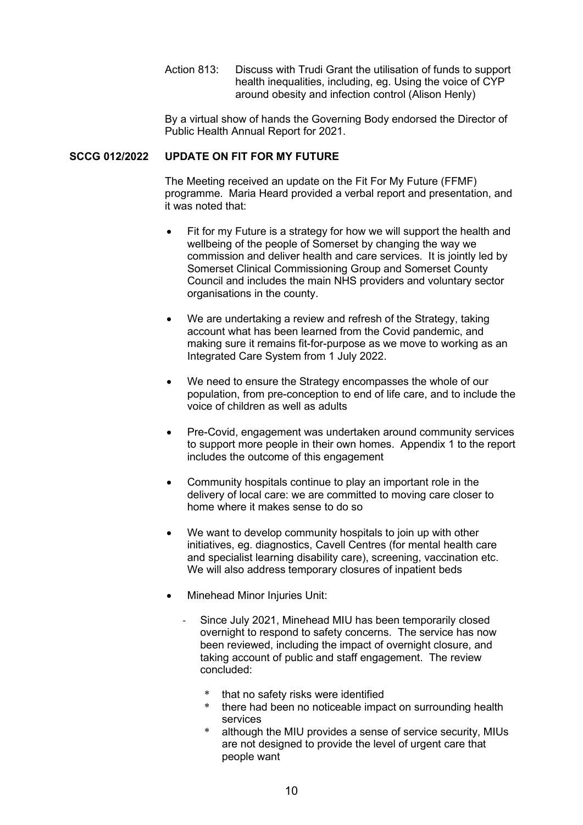Action 813: Discuss with Trudi Grant the utilisation of funds to support health inequalities, including, eg. Using the voice of CYP around obesity and infection control (Alison Henly)

 By a virtual show of hands the Governing Body endorsed the Director of Public Health Annual Report for 2021.

## **SCCG 012/2022 UPDATE ON FIT FOR MY FUTURE**

 The Meeting received an update on the Fit For My Future (FFMF) programme. Maria Heard provided a verbal report and presentation, and it was noted that:

- Fit for my Future is a strategy for how we will support the health and wellbeing of the people of Somerset by changing the way we commission and deliver health and care services. It is jointly led by Somerset Clinical Commissioning Group and Somerset County Council and includes the main NHS providers and voluntary sector organisations in the county.
- We are undertaking a review and refresh of the Strategy, taking account what has been learned from the Covid pandemic, and making sure it remains fit-for-purpose as we move to working as an Integrated Care System from 1 July 2022.
- We need to ensure the Strategy encompasses the whole of our population, from pre-conception to end of life care, and to include the voice of children as well as adults
- Pre-Covid, engagement was undertaken around community services to support more people in their own homes. Appendix 1 to the report includes the outcome of this engagement
- Community hospitals continue to play an important role in the delivery of local care: we are committed to moving care closer to home where it makes sense to do so
- We want to develop community hospitals to join up with other initiatives, eg. diagnostics, Cavell Centres (for mental health care and specialist learning disability care), screening, vaccination etc. We will also address temporary closures of inpatient beds
- **Minehead Minor Injuries Unit:** 
	- Since July 2021, Minehead MIU has been temporarily closed overnight to respond to safety concerns. The service has now been reviewed, including the impact of overnight closure, and taking account of public and staff engagement. The review concluded:
		- that no safety risks were identified
		- \* there had been no noticeable impact on surrounding health services
		- although the MIU provides a sense of service security, MIUs are not designed to provide the level of urgent care that people want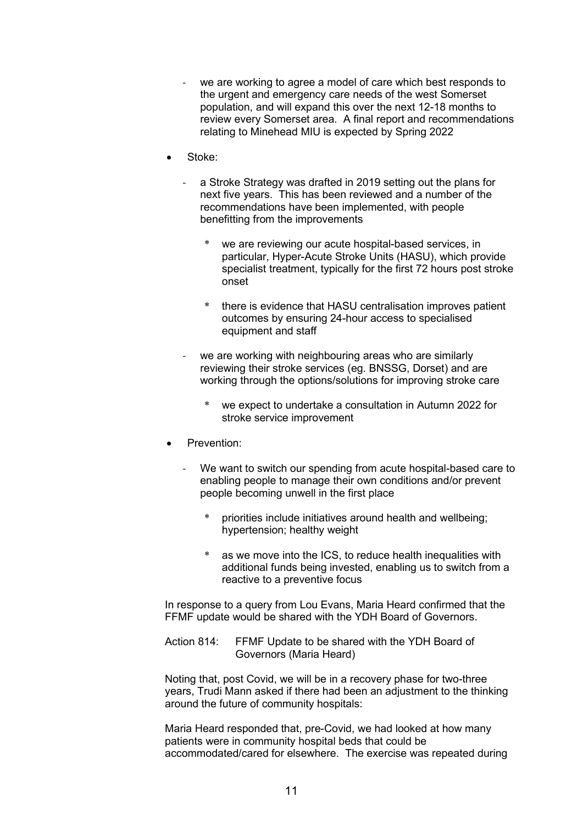- we are working to agree a model of care which best responds to the urgent and emergency care needs of the west Somerset population, and will expand this over the next 12-18 months to review every Somerset area. A final report and recommendations relating to Minehead MIU is expected by Spring 2022
- Stoke:
	- a Stroke Strategy was drafted in 2019 setting out the plans for next five years. This has been reviewed and a number of the recommendations have been implemented, with people benefitting from the improvements
		- we are reviewing our acute hospital-based services, in particular, Hyper-Acute Stroke Units (HASU), which provide specialist treatment, typically for the first 72 hours post stroke onset
		- there is evidence that HASU centralisation improves patient outcomes by ensuring 24-hour access to specialised equipment and staff
	- we are working with neighbouring areas who are similarly reviewing their stroke services (eg. BNSSG, Dorset) and are working through the options/solutions for improving stroke care
		- we expect to undertake a consultation in Autumn 2022 for stroke service improvement
- Prevention:
	- We want to switch our spending from acute hospital-based care to enabling people to manage their own conditions and/or prevent people becoming unwell in the first place
		- priorities include initiatives around health and wellbeing; hypertension; healthy weight
		- \* as we move into the ICS, to reduce health inequalities with additional funds being invested, enabling us to switch from a reactive to a preventive focus

 In response to a query from Lou Evans, Maria Heard confirmed that the FFMF update would be shared with the YDH Board of Governors.

 Action 814: FFMF Update to be shared with the YDH Board of Governors (Maria Heard)

 Noting that, post Covid, we will be in a recovery phase for two-three years, Trudi Mann asked if there had been an adjustment to the thinking around the future of community hospitals:

 Maria Heard responded that, pre-Covid, we had looked at how many patients were in community hospital beds that could be accommodated/cared for elsewhere. The exercise was repeated during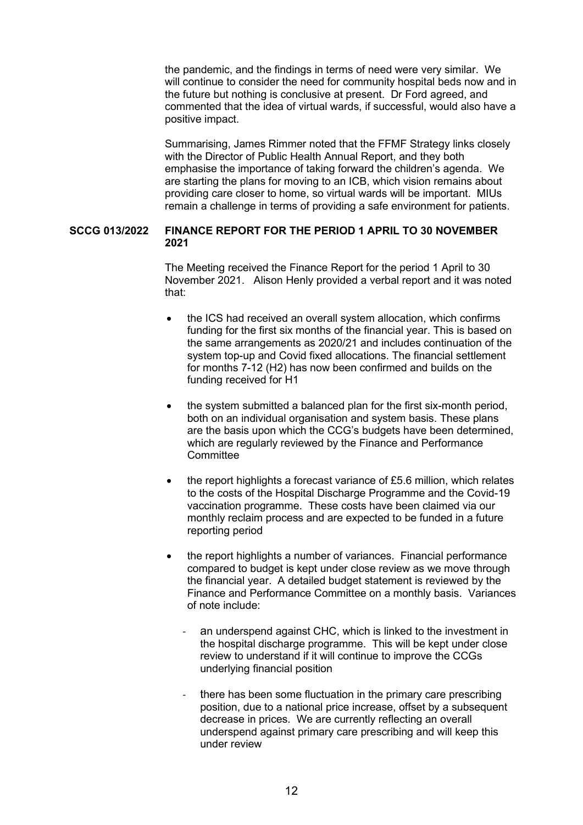the pandemic, and the findings in terms of need were very similar. We will continue to consider the need for community hospital beds now and in the future but nothing is conclusive at present. Dr Ford agreed, and commented that the idea of virtual wards, if successful, would also have a positive impact.

 Summarising, James Rimmer noted that the FFMF Strategy links closely with the Director of Public Health Annual Report, and they both emphasise the importance of taking forward the children's agenda. We are starting the plans for moving to an ICB, which vision remains about providing care closer to home, so virtual wards will be important. MIUs remain a challenge in terms of providing a safe environment for patients.

## **SCCG 013/2022 FINANCE REPORT FOR THE PERIOD 1 APRIL TO 30 NOVEMBER 2021**

 The Meeting received the Finance Report for the period 1 April to 30 November 2021. Alison Henly provided a verbal report and it was noted that:

- the ICS had received an overall system allocation, which confirms funding for the first six months of the financial year. This is based on the same arrangements as 2020/21 and includes continuation of the system top-up and Covid fixed allocations. The financial settlement for months 7-12 (H2) has now been confirmed and builds on the funding received for H1
- the system submitted a balanced plan for the first six-month period, both on an individual organisation and system basis. These plans are the basis upon which the CCG's budgets have been determined, which are regularly reviewed by the Finance and Performance **Committee**
- the report highlights a forecast variance of £5.6 million, which relates to the costs of the Hospital Discharge Programme and the Covid-19 vaccination programme. These costs have been claimed via our monthly reclaim process and are expected to be funded in a future reporting period
- the report highlights a number of variances. Financial performance compared to budget is kept under close review as we move through the financial year. A detailed budget statement is reviewed by the Finance and Performance Committee on a monthly basis. Variances of note include:
	- an underspend against CHC, which is linked to the investment in the hospital discharge programme. This will be kept under close review to understand if it will continue to improve the CCGs underlying financial position
	- there has been some fluctuation in the primary care prescribing position, due to a national price increase, offset by a subsequent decrease in prices. We are currently reflecting an overall underspend against primary care prescribing and will keep this under review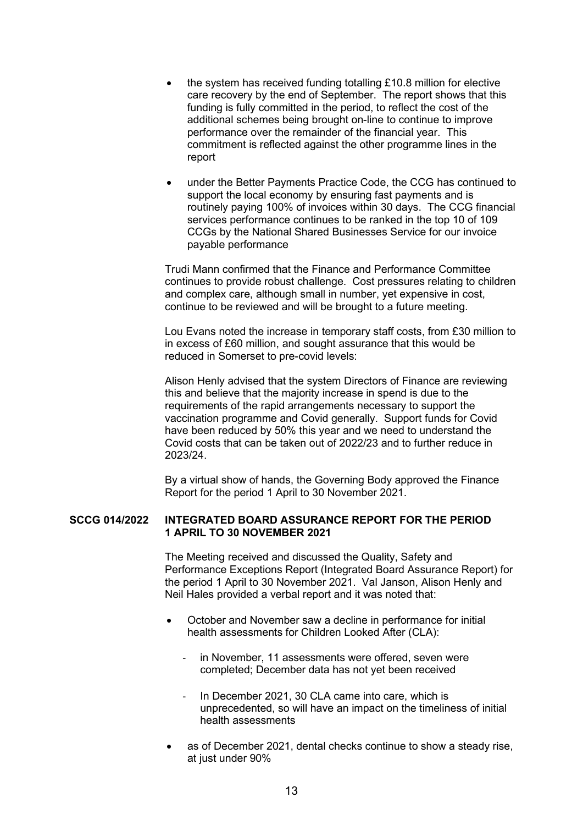- the system has received funding totalling £10.8 million for elective care recovery by the end of September. The report shows that this funding is fully committed in the period, to reflect the cost of the additional schemes being brought on-line to continue to improve performance over the remainder of the financial year. This commitment is reflected against the other programme lines in the report
- under the Better Payments Practice Code, the CCG has continued to support the local economy by ensuring fast payments and is routinely paying 100% of invoices within 30 days. The CCG financial services performance continues to be ranked in the top 10 of 109 CCGs by the National Shared Businesses Service for our invoice payable performance

 Trudi Mann confirmed that the Finance and Performance Committee continues to provide robust challenge. Cost pressures relating to children and complex care, although small in number, yet expensive in cost, continue to be reviewed and will be brought to a future meeting.

 Lou Evans noted the increase in temporary staff costs, from £30 million to in excess of £60 million, and sought assurance that this would be reduced in Somerset to pre-covid levels:

 Alison Henly advised that the system Directors of Finance are reviewing this and believe that the majority increase in spend is due to the requirements of the rapid arrangements necessary to support the vaccination programme and Covid generally. Support funds for Covid have been reduced by 50% this year and we need to understand the Covid costs that can be taken out of 2022/23 and to further reduce in 2023/24.

 By a virtual show of hands, the Governing Body approved the Finance Report for the period 1 April to 30 November 2021.

## **SCCG 014/2022 INTEGRATED BOARD ASSURANCE REPORT FOR THE PERIOD 1 APRIL TO 30 NOVEMBER 2021**

 The Meeting received and discussed the Quality, Safety and Performance Exceptions Report (Integrated Board Assurance Report) for the period 1 April to 30 November 2021. Val Janson, Alison Henly and Neil Hales provided a verbal report and it was noted that:

- October and November saw a decline in performance for initial health assessments for Children Looked After (CLA):
	- in November, 11 assessments were offered, seven were completed; December data has not yet been received
	- In December 2021, 30 CLA came into care, which is unprecedented, so will have an impact on the timeliness of initial health assessments
- as of December 2021, dental checks continue to show a steady rise, at just under 90%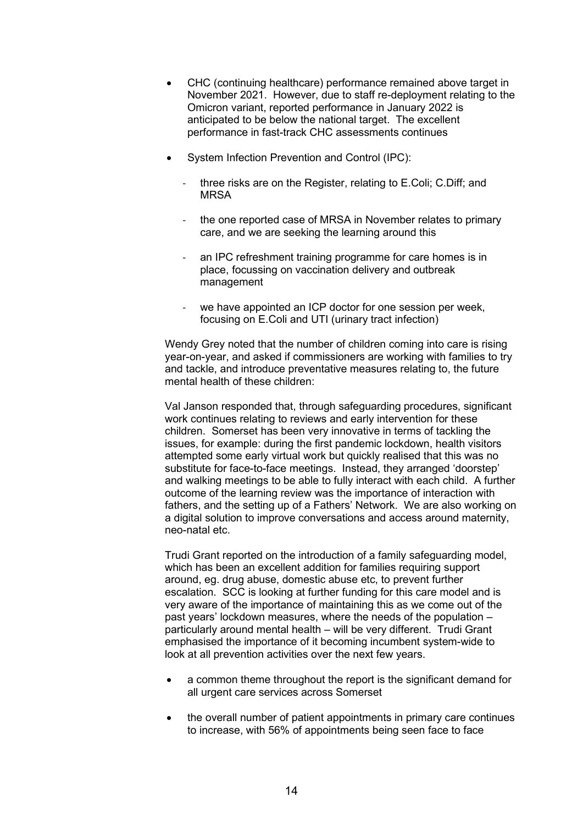- CHC (continuing healthcare) performance remained above target in November 2021. However, due to staff re-deployment relating to the Omicron variant, reported performance in January 2022 is anticipated to be below the national target. The excellent performance in fast-track CHC assessments continues
- System Infection Prevention and Control (IPC):
	- three risks are on the Register, relating to E.Coli; C.Diff; and MRSA
	- the one reported case of MRSA in November relates to primary care, and we are seeking the learning around this
	- an IPC refreshment training programme for care homes is in place, focussing on vaccination delivery and outbreak management
	- we have appointed an ICP doctor for one session per week. focusing on E.Coli and UTI (urinary tract infection)

 Wendy Grey noted that the number of children coming into care is rising year-on-year, and asked if commissioners are working with families to try and tackle, and introduce preventative measures relating to, the future mental health of these children:

 Val Janson responded that, through safeguarding procedures, significant work continues relating to reviews and early intervention for these children. Somerset has been very innovative in terms of tackling the issues, for example: during the first pandemic lockdown, health visitors attempted some early virtual work but quickly realised that this was no substitute for face-to-face meetings. Instead, they arranged 'doorstep' and walking meetings to be able to fully interact with each child. A further outcome of the learning review was the importance of interaction with fathers, and the setting up of a Fathers' Network. We are also working on a digital solution to improve conversations and access around maternity, neo-natal etc.

 Trudi Grant reported on the introduction of a family safeguarding model, which has been an excellent addition for families requiring support around, eg. drug abuse, domestic abuse etc, to prevent further escalation. SCC is looking at further funding for this care model and is very aware of the importance of maintaining this as we come out of the past years' lockdown measures, where the needs of the population – particularly around mental health – will be very different. Trudi Grant emphasised the importance of it becoming incumbent system-wide to look at all prevention activities over the next few years.

- a common theme throughout the report is the significant demand for all urgent care services across Somerset
- the overall number of patient appointments in primary care continues to increase, with 56% of appointments being seen face to face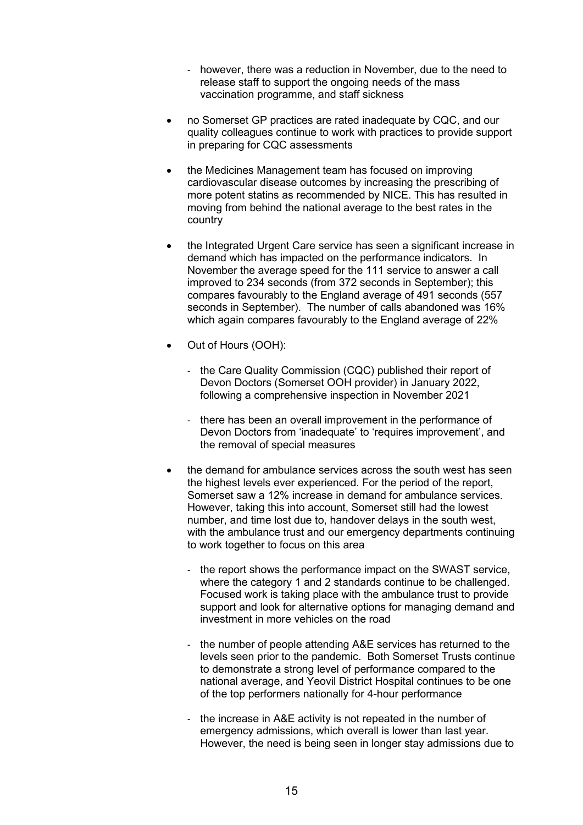- however, there was a reduction in November, due to the need to release staff to support the ongoing needs of the mass vaccination programme, and staff sickness
- no Somerset GP practices are rated inadequate by CQC, and our quality colleagues continue to work with practices to provide support in preparing for CQC assessments
- the Medicines Management team has focused on improving cardiovascular disease outcomes by increasing the prescribing of more potent statins as recommended by NICE. This has resulted in moving from behind the national average to the best rates in the country
- the Integrated Urgent Care service has seen a significant increase in demand which has impacted on the performance indicators. In November the average speed for the 111 service to answer a call improved to 234 seconds (from 372 seconds in September); this compares favourably to the England average of 491 seconds (557 seconds in September). The number of calls abandoned was 16% which again compares favourably to the England average of 22%
- Out of Hours (OOH):
	- the Care Quality Commission (CQC) published their report of Devon Doctors (Somerset OOH provider) in January 2022, following a comprehensive inspection in November 2021
	- there has been an overall improvement in the performance of Devon Doctors from 'inadequate' to 'requires improvement', and the removal of special measures
- the demand for ambulance services across the south west has seen the highest levels ever experienced. For the period of the report, Somerset saw a 12% increase in demand for ambulance services. However, taking this into account, Somerset still had the lowest number, and time lost due to, handover delays in the south west, with the ambulance trust and our emergency departments continuing to work together to focus on this area
	- the report shows the performance impact on the SWAST service, where the category 1 and 2 standards continue to be challenged. Focused work is taking place with the ambulance trust to provide support and look for alternative options for managing demand and investment in more vehicles on the road
	- the number of people attending A&E services has returned to the levels seen prior to the pandemic. Both Somerset Trusts continue to demonstrate a strong level of performance compared to the national average, and Yeovil District Hospital continues to be one of the top performers nationally for 4-hour performance
	- the increase in A&E activity is not repeated in the number of emergency admissions, which overall is lower than last year. However, the need is being seen in longer stay admissions due to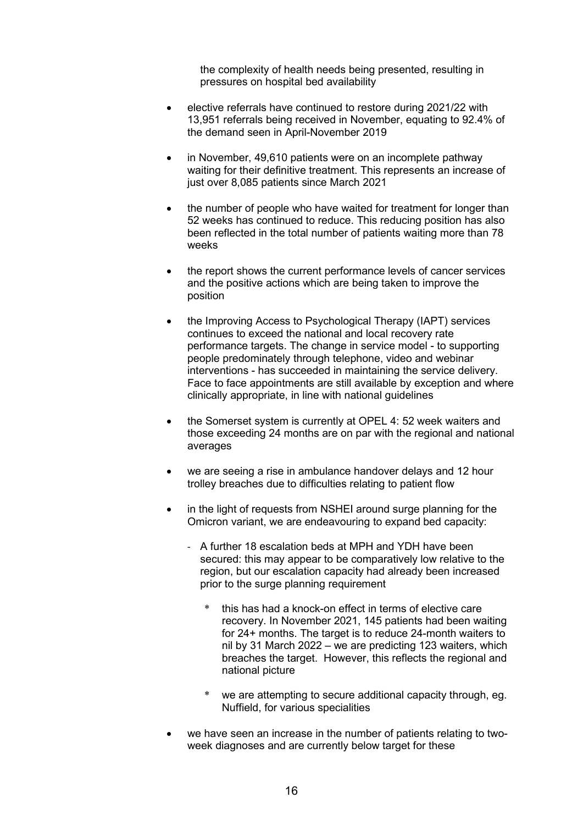the complexity of health needs being presented, resulting in pressures on hospital bed availability

- elective referrals have continued to restore during 2021/22 with 13,951 referrals being received in November, equating to 92.4% of the demand seen in April-November 2019
- in November, 49,610 patients were on an incomplete pathway waiting for their definitive treatment. This represents an increase of just over 8,085 patients since March 2021
- the number of people who have waited for treatment for longer than 52 weeks has continued to reduce. This reducing position has also been reflected in the total number of patients waiting more than 78 weeks
- the report shows the current performance levels of cancer services and the positive actions which are being taken to improve the position
- the Improving Access to Psychological Therapy (IAPT) services continues to exceed the national and local recovery rate performance targets. The change in service model - to supporting people predominately through telephone, video and webinar interventions - has succeeded in maintaining the service delivery. Face to face appointments are still available by exception and where clinically appropriate, in line with national guidelines
- the Somerset system is currently at OPEL 4: 52 week waiters and those exceeding 24 months are on par with the regional and national averages
- we are seeing a rise in ambulance handover delays and 12 hour trolley breaches due to difficulties relating to patient flow
- in the light of requests from NSHEI around surge planning for the Omicron variant, we are endeavouring to expand bed capacity:
	- A further 18 escalation beds at MPH and YDH have been secured: this may appear to be comparatively low relative to the region, but our escalation capacity had already been increased prior to the surge planning requirement
		- this has had a knock-on effect in terms of elective care recovery. In November 2021, 145 patients had been waiting for 24+ months. The target is to reduce 24-month waiters to nil by 31 March 2022 – we are predicting 123 waiters, which breaches the target. However, this reflects the regional and national picture
		- \* we are attempting to secure additional capacity through, eg. Nuffield, for various specialities
- we have seen an increase in the number of patients relating to twoweek diagnoses and are currently below target for these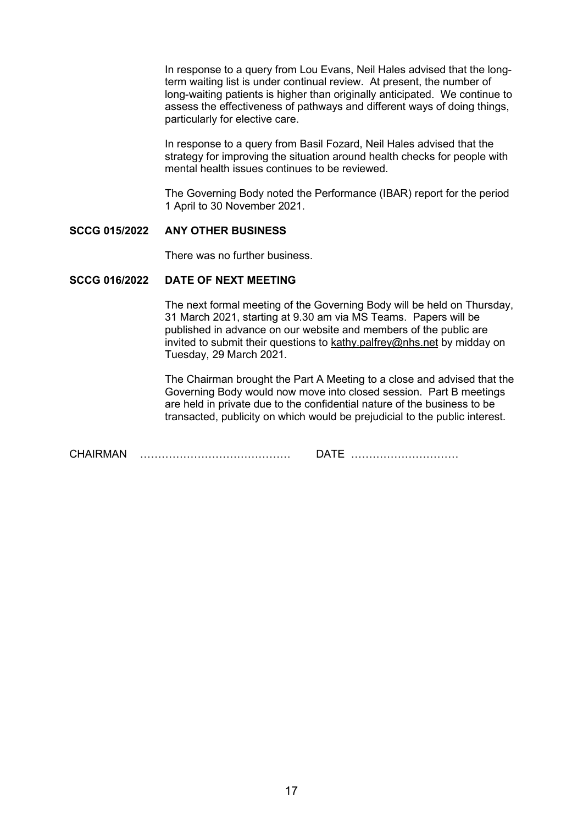In response to a query from Lou Evans, Neil Hales advised that the longterm waiting list is under continual review. At present, the number of long-waiting patients is higher than originally anticipated. We continue to assess the effectiveness of pathways and different ways of doing things, particularly for elective care.

 In response to a query from Basil Fozard, Neil Hales advised that the strategy for improving the situation around health checks for people with mental health issues continues to be reviewed.

 The Governing Body noted the Performance (IBAR) report for the period 1 April to 30 November 2021.

#### **SCCG 015/2022 ANY OTHER BUSINESS**

There was no further business.

#### **SCCG 016/2022 DATE OF NEXT MEETING**

 The next formal meeting of the Governing Body will be held on Thursday, 31 March 2021, starting at 9.30 am via MS Teams. Papers will be published in advance on our website and members of the public are invited to submit their questions to kathy.palfrey@nhs.net by midday on Tuesday, 29 March 2021.

 The Chairman brought the Part A Meeting to a close and advised that the Governing Body would now move into closed session. Part B meetings are held in private due to the confidential nature of the business to be transacted, publicity on which would be prejudicial to the public interest.

CHAIRMAN …………………………………… DATE …………………………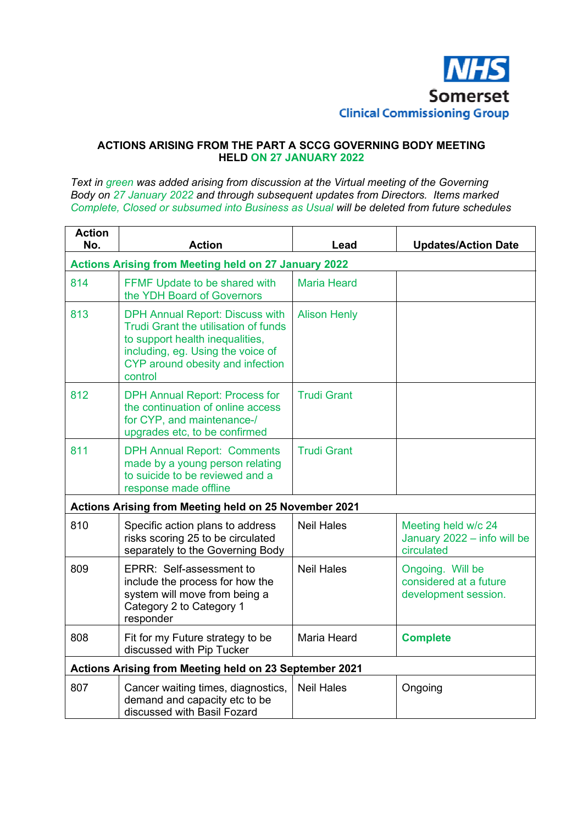

## **ACTIONS ARISING FROM THE PART A SCCG GOVERNING BODY MEETING HELD ON 27 JANUARY 2022**

*Text in green was added arising from discussion at the Virtual meeting of the Governing Body on 27 January 2022 and through subsequent updates from Directors. Items marked Complete, Closed or subsumed into Business as Usual will be deleted from future schedules* 

| <b>Action</b><br>No.                                        | <b>Action</b>                                                                                                                                                                                         | Lead                | <b>Updates/Action Date</b>                                         |  |
|-------------------------------------------------------------|-------------------------------------------------------------------------------------------------------------------------------------------------------------------------------------------------------|---------------------|--------------------------------------------------------------------|--|
| <b>Actions Arising from Meeting held on 27 January 2022</b> |                                                                                                                                                                                                       |                     |                                                                    |  |
| 814                                                         | FFMF Update to be shared with<br>the YDH Board of Governors                                                                                                                                           | <b>Maria Heard</b>  |                                                                    |  |
| 813                                                         | <b>DPH Annual Report: Discuss with</b><br>Trudi Grant the utilisation of funds<br>to support health inequalities,<br>including, eg. Using the voice of<br>CYP around obesity and infection<br>control | <b>Alison Henly</b> |                                                                    |  |
| 812                                                         | <b>DPH Annual Report: Process for</b><br>the continuation of online access<br>for CYP, and maintenance-/<br>upgrades etc, to be confirmed                                                             | <b>Trudi Grant</b>  |                                                                    |  |
| 811                                                         | <b>DPH Annual Report: Comments</b><br>made by a young person relating<br>to suicide to be reviewed and a<br>response made offline                                                                     | <b>Trudi Grant</b>  |                                                                    |  |
|                                                             | Actions Arising from Meeting held on 25 November 2021                                                                                                                                                 |                     |                                                                    |  |
| 810                                                         | Specific action plans to address<br>risks scoring 25 to be circulated<br>separately to the Governing Body                                                                                             | <b>Neil Hales</b>   | Meeting held w/c 24<br>January 2022 - info will be<br>circulated   |  |
| 809                                                         | EPRR: Self-assessment to<br>include the process for how the<br>system will move from being a<br>Category 2 to Category 1<br>responder                                                                 | <b>Neil Hales</b>   | Ongoing. Will be<br>considered at a future<br>development session. |  |
| 808                                                         | Fit for my Future strategy to be<br>discussed with Pip Tucker                                                                                                                                         | Maria Heard         | <b>Complete</b>                                                    |  |
| Actions Arising from Meeting held on 23 September 2021      |                                                                                                                                                                                                       |                     |                                                                    |  |
| 807                                                         | Cancer waiting times, diagnostics,<br>demand and capacity etc to be<br>discussed with Basil Fozard                                                                                                    | <b>Neil Hales</b>   | Ongoing                                                            |  |